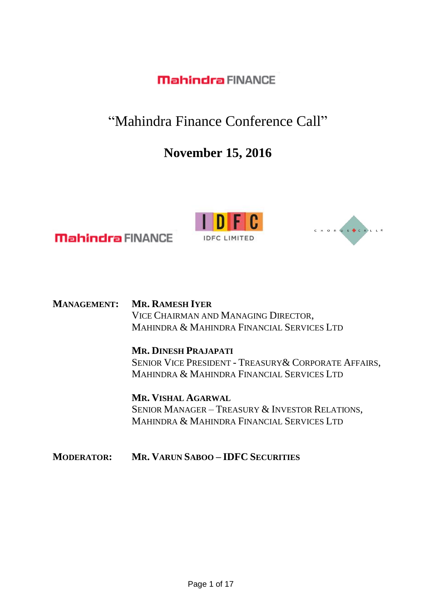# "Mahindra Finance Conference Call"

# **November 15, 2016**







**MANAGEMENT: MR. RAMESH IYER**  VICE CHAIRMAN AND MANAGING DIRECTOR, MAHINDRA & MAHINDRA FINANCIAL SERVICES LTD

> **MR. DINESH PRAJAPATI** SENIOR VICE PRESIDENT - TREASURY& CORPORATE AFFAIRS,

MAHINDRA & MAHINDRA FINANCIAL SERVICES LTD

**MR. VISHAL AGARWAL** SENIOR MANAGER – TREASURY & INVESTOR RELATIONS, MAHINDRA & MAHINDRA FINANCIAL SERVICES LTD

**MODERATOR: MR. VARUN SABOO – IDFC SECURITIES**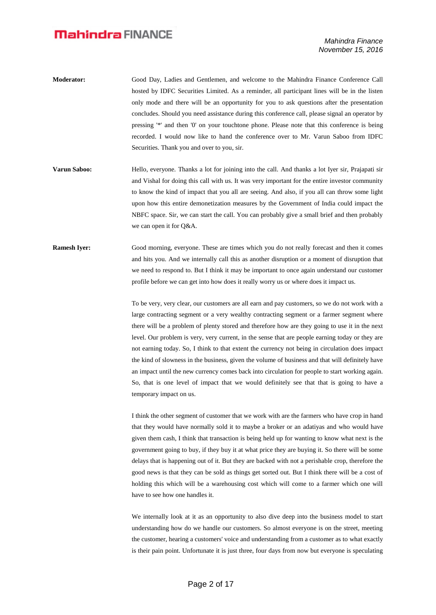- **Moderator:** Good Day, Ladies and Gentlemen, and welcome to the Mahindra Finance Conference Call hosted by IDFC Securities Limited. As a reminder, all participant lines will be in the listen only mode and there will be an opportunity for you to ask questions after the presentation concludes. Should you need assistance during this conference call, please signal an operator by pressing '\*' and then '0' on your touchtone phone. Please note that this conference is being recorded. I would now like to hand the conference over to Mr. Varun Saboo from IDFC Securities. Thank you and over to you, sir.
- **Varun Saboo:** Hello, everyone. Thanks a lot for joining into the call. And thanks a lot Iyer sir, Prajapati sir and Vishal for doing this call with us. It was very important for the entire investor community to know the kind of impact that you all are seeing. And also, if you all can throw some light upon how this entire demonetization measures by the Government of India could impact the NBFC space. Sir, we can start the call. You can probably give a small brief and then probably we can open it for Q&A.
- **Ramesh Iyer:** Good morning, everyone. These are times which you do not really forecast and then it comes and hits you. And we internally call this as another disruption or a moment of disruption that we need to respond to. But I think it may be important to once again understand our customer profile before we can get into how does it really worry us or where does it impact us.

To be very, very clear, our customers are all earn and pay customers, so we do not work with a large contracting segment or a very wealthy contracting segment or a farmer segment where there will be a problem of plenty stored and therefore how are they going to use it in the next level. Our problem is very, very current, in the sense that are people earning today or they are not earning today. So, I think to that extent the currency not being in circulation does impact the kind of slowness in the business, given the volume of business and that will definitely have an impact until the new currency comes back into circulation for people to start working again. So, that is one level of impact that we would definitely see that that is going to have a temporary impact on us.

I think the other segment of customer that we work with are the farmers who have crop in hand that they would have normally sold it to maybe a broker or an adatiyas and who would have given them cash, I think that transaction is being held up for wanting to know what next is the government going to buy, if they buy it at what price they are buying it. So there will be some delays that is happening out of it. But they are backed with not a perishable crop, therefore the good news is that they can be sold as things get sorted out. But I think there will be a cost of holding this which will be a warehousing cost which will come to a farmer which one will have to see how one handles it.

We internally look at it as an opportunity to also dive deep into the business model to start understanding how do we handle our customers. So almost everyone is on the street, meeting the customer, hearing a customers' voice and understanding from a customer as to what exactly is their pain point. Unfortunate it is just three, four days from now but everyone is speculating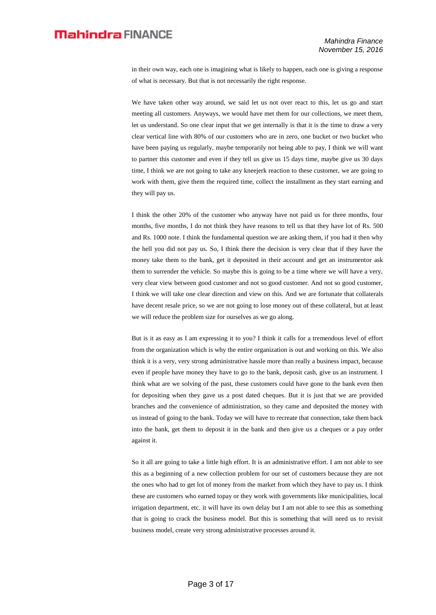in their own way, each one is imagining what is likely to happen, each one is giving a response of what is necessary. But that is not necessarily the right response.

We have taken other way around, we said let us not over react to this, let us go and start meeting all customers. Anyways, we would have met them for our collections, we meet them, let us understand. So one clear input that we get internally is that it is the time to draw a very clear vertical line with 80% of our customers who are in zero, one bucket or two bucket who have been paying us regularly, maybe temporarily not being able to pay, I think we will want to partner this customer and even if they tell us give us 15 days time, maybe give us 30 days time, I think we are not going to take any kneejerk reaction to these customer, we are going to work with them, give them the required time, collect the installment as they start earning and they will pay us.

I think the other 20% of the customer who anyway have not paid us for three months, four months, five months, I do not think they have reasons to tell us that they have lot of Rs. 500 and Rs. 1000 note. I think the fundamental question we are asking them, if you had it then why the hell you did not pay us. So, I think there the decision is very clear that if they have the money take them to the bank, get it deposited in their account and get an instrumentor ask them to surrender the vehicle. So maybe this is going to be a time where we will have a very, very clear view between good customer and not so good customer. And not so good customer, I think we will take one clear direction and view on this. And we are fortunate that collaterals have decent resale price, so we are not going to lose money out of these collateral, but at least we will reduce the problem size for ourselves as we go along.

But is it as easy as I am expressing it to you? I think it calls for a tremendous level of effort from the organization which is why the entire organization is out and working on this. We also think it is a very, very strong administrative hassle more than really a business impact, because even if people have money they have to go to the bank, deposit cash, give us an instrument. I think what are we solving of the past, these customers could have gone to the bank even then for depositing when they gave us a post dated cheques. But it is just that we are provided branches and the convenience of administration, so they came and deposited the money with us instead of going to the bank. Today we will have to recreate that connection, take them back into the bank, get them to deposit it in the bank and then give us a cheques or a pay order against it.

So it all are going to take a little high effort. It is an administrative effort. I am not able to see this as a beginning of a new collection problem for our set of customers because they are not the ones who had to get lot of money from the market from which they have to pay us. I think these are customers who earned topay or they work with governments like municipalities, local irrigation department, etc. it will have its own delay but I am not able to see this as something that is going to crack the business model. But this is something that will need us to revisit business model, create very strong administrative processes around it.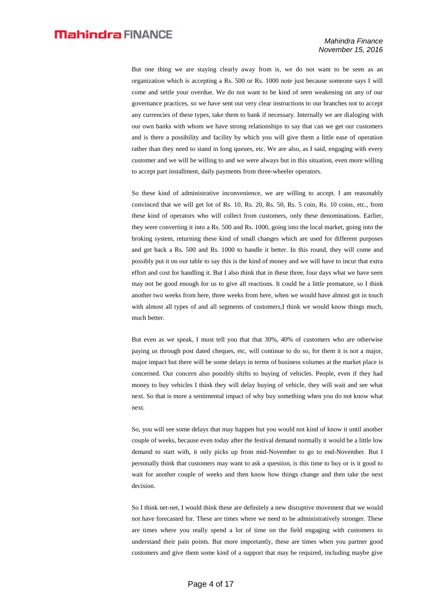But one thing we are staying clearly away from is, we do not want to be seen as an organization which is accepting a Rs. 500 or Rs. 1000 note just because someone says I will come and settle your overdue. We do not want to be kind of seen weakening on any of our governance practices, so we have sent out very clear instructions to our branches not to accept any currencies of these types, take them to bank if necessary. Internally we are dialoging with our own banks with whom we have strong relationships to say that can we get our customers and is there a possibility and facility by which you will give them a little ease of operation rather than they need to stand in long queues, etc. We are also, as I said, engaging with every customer and we will be willing to and we were always but in this situation, even more willing to accept part installment, daily payments from three-wheeler operators.

So these kind of administrative inconvenience, we are willing to accept. I am reasonably convinced that we will get lot of Rs. 10, Rs. 20, Rs. 50, Rs. 5 coin, Rs. 10 coins, etc., from these kind of operators who will collect from customers, only these denominations. Earlier, they were converting it into a Rs. 500 and Rs. 1000, going into the local market, going into the broking system, returning these kind of small changes which are used for different purposes and get back a Rs. 500 and Rs. 1000 to handle it better. In this round, they will come and possibly put it on our table to say this is the kind of money and we will have to incur that extra effort and cost for handling it. But I also think that in these three, four days what we have seen may not be good enough for us to give all reactions. It could be a little premature, so I think another two weeks from here, three weeks from here, when we would have almost got in touch with almost all types of and all segments of customers,I think we would know things much, much better.

But even as we speak, I must tell you that that 30%, 40% of customers who are otherwise paying us through post dated cheques, etc, will continue to do so, for them it is not a major, major impact but there will be some delays in terms of business volumes at the market place is concerned. Our concern also possibly shifts to buying of vehicles. People, even if they had money to buy vehicles I think they will delay buying of vehicle, they will wait and see what next. So that is more a sentimental impact of why buy something when you do not know what next.

So, you will see some delays that may happen but you would not kind of know it until another couple of weeks, because even today after the festival demand normally it would be a little low demand to start with, it only picks up from mid-November to go to end-November. But I personally think that customers may want to ask a question, is this time to buy or is it good to wait for another couple of weeks and then know how things change and then take the next decision.

So I think net-net, I would think these are definitely a new disruptive movement that we would not have forecasted for. These are times where we need to be administratively stronger. These are times where you really spend a lot of time on the field engaging with customers to understand their pain points. But more importantly, these are times when you partner good customers and give them some kind of a support that may be required, including maybe give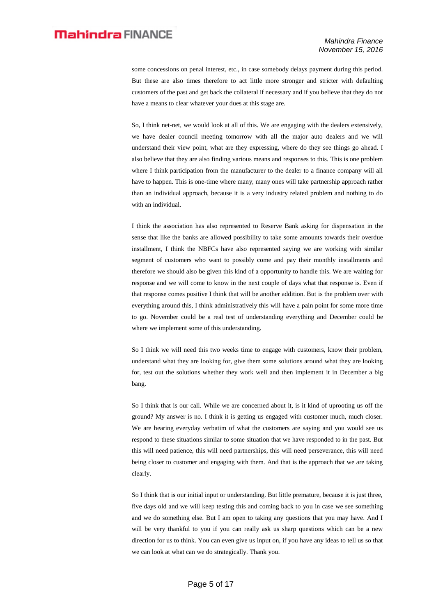some concessions on penal interest, etc., in case somebody delays payment during this period. But these are also times therefore to act little more stronger and stricter with defaulting customers of the past and get back the collateral if necessary and if you believe that they do not have a means to clear whatever your dues at this stage are.

So, I think net-net, we would look at all of this. We are engaging with the dealers extensively, we have dealer council meeting tomorrow with all the major auto dealers and we will understand their view point, what are they expressing, where do they see things go ahead. I also believe that they are also finding various means and responses to this. This is one problem where I think participation from the manufacturer to the dealer to a finance company will all have to happen. This is one-time where many, many ones will take partnership approach rather than an individual approach, because it is a very industry related problem and nothing to do with an individual.

I think the association has also represented to Reserve Bank asking for dispensation in the sense that like the banks are allowed possibility to take some amounts towards their overdue installment, I think the NBFCs have also represented saying we are working with similar segment of customers who want to possibly come and pay their monthly installments and therefore we should also be given this kind of a opportunity to handle this. We are waiting for response and we will come to know in the next couple of days what that response is. Even if that response comes positive I think that will be another addition. But is the problem over with everything around this, I think administratively this will have a pain point for some more time to go. November could be a real test of understanding everything and December could be where we implement some of this understanding.

So I think we will need this two weeks time to engage with customers, know their problem, understand what they are looking for, give them some solutions around what they are looking for, test out the solutions whether they work well and then implement it in December a big bang.

So I think that is our call. While we are concerned about it, is it kind of uprooting us off the ground? My answer is no. I think it is getting us engaged with customer much, much closer. We are hearing everyday verbatim of what the customers are saying and you would see us respond to these situations similar to some situation that we have responded to in the past. But this will need patience, this will need partnerships, this will need perseverance, this will need being closer to customer and engaging with them. And that is the approach that we are taking clearly.

So I think that is our initial input or understanding. But little premature, because it is just three, five days old and we will keep testing this and coming back to you in case we see something and we do something else. But I am open to taking any questions that you may have. And I will be very thankful to you if you can really ask us sharp questions which can be a new direction for us to think. You can even give us input on, if you have any ideas to tell us so that we can look at what can we do strategically. Thank you.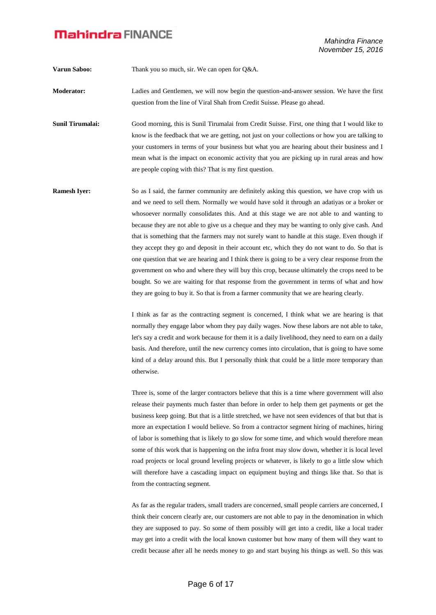*Mahindra Finance November 15, 2016*

**Varun Saboo:** Thank you so much, sir. We can open for O&A.

- **Moderator:** Ladies and Gentlemen, we will now begin the question-and-answer session. We have the first question from the line of Viral Shah from Credit Suisse. Please go ahead.
- **Sunil Tirumalai:** Good morning, this is Sunil Tirumalai from Credit Suisse. First, one thing that I would like to know is the feedback that we are getting, not just on your collections or how you are talking to your customers in terms of your business but what you are hearing about their business and I mean what is the impact on economic activity that you are picking up in rural areas and how are people coping with this? That is my first question.
- **Ramesh Iyer:** So as I said, the farmer community are definitely asking this question, we have crop with us and we need to sell them. Normally we would have sold it through an adatiyas or a broker or whosoever normally consolidates this. And at this stage we are not able to and wanting to because they are not able to give us a cheque and they may be wanting to only give cash. And that is something that the farmers may not surely want to handle at this stage. Even though if they accept they go and deposit in their account etc, which they do not want to do. So that is one question that we are hearing and I think there is going to be a very clear response from the government on who and where they will buy this crop, because ultimately the crops need to be bought. So we are waiting for that response from the government in terms of what and how they are going to buy it. So that is from a farmer community that we are hearing clearly.

I think as far as the contracting segment is concerned, I think what we are hearing is that normally they engage labor whom they pay daily wages. Now these labors are not able to take, let's say a credit and work because for them it is a daily livelihood, they need to earn on a daily basis. And therefore, until the new currency comes into circulation, that is going to have some kind of a delay around this. But I personally think that could be a little more temporary than otherwise.

Three is, some of the larger contractors believe that this is a time where government will also release their payments much faster than before in order to help them get payments or get the business keep going. But that is a little stretched, we have not seen evidences of that but that is more an expectation I would believe. So from a contractor segment hiring of machines, hiring of labor is something that is likely to go slow for some time, and which would therefore mean some of this work that is happening on the infra front may slow down, whether it is local level road projects or local ground leveling projects or whatever, is likely to go a little slow which will therefore have a cascading impact on equipment buying and things like that. So that is from the contracting segment.

As far as the regular traders, small traders are concerned, small people carriers are concerned, I think their concern clearly are, our customers are not able to pay in the denomination in which they are supposed to pay. So some of them possibly will get into a credit, like a local trader may get into a credit with the local known customer but how many of them will they want to credit because after all he needs money to go and start buying his things as well. So this was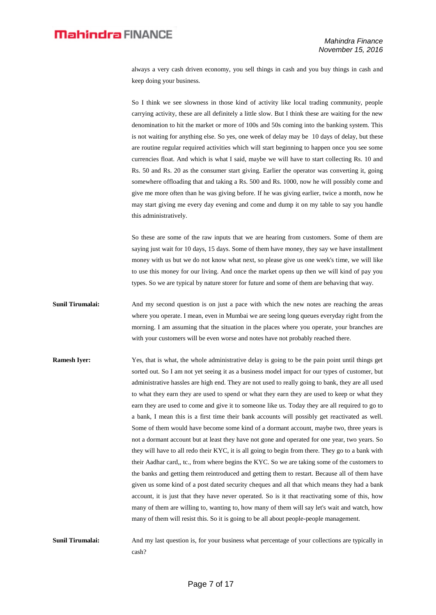always a very cash driven economy, you sell things in cash and you buy things in cash and keep doing your business.

So I think we see slowness in those kind of activity like local trading community, people carrying activity, these are all definitely a little slow. But I think these are waiting for the new denomination to hit the market or more of 100s and 50s coming into the banking system. This is not waiting for anything else. So yes, one week of delay may be 10 days of delay, but these are routine regular required activities which will start beginning to happen once you see some currencies float. And which is what I said, maybe we will have to start collecting Rs. 10 and Rs. 50 and Rs. 20 as the consumer start giving. Earlier the operator was converting it, going somewhere offloading that and taking a Rs. 500 and Rs. 1000, now he will possibly come and give me more often than he was giving before. If he was giving earlier, twice a month, now he may start giving me every day evening and come and dump it on my table to say you handle this administratively.

So these are some of the raw inputs that we are hearing from customers. Some of them are saying just wait for 10 days, 15 days. Some of them have money, they say we have installment money with us but we do not know what next, so please give us one week's time, we will like to use this money for our living. And once the market opens up then we will kind of pay you types. So we are typical by nature storer for future and some of them are behaving that way.

- **Sunil Tirumalai:** And my second question is on just a pace with which the new notes are reaching the areas where you operate. I mean, even in Mumbai we are seeing long queues everyday right from the morning. I am assuming that the situation in the places where you operate, your branches are with your customers will be even worse and notes have not probably reached there.
- **Ramesh Iyer:** Yes, that is what, the whole administrative delay is going to be the pain point until things get sorted out. So I am not yet seeing it as a business model impact for our types of customer, but administrative hassles are high end. They are not used to really going to bank, they are all used to what they earn they are used to spend or what they earn they are used to keep or what they earn they are used to come and give it to someone like us. Today they are all required to go to a bank, I mean this is a first time their bank accounts will possibly get reactivated as well. Some of them would have become some kind of a dormant account, maybe two, three years is not a dormant account but at least they have not gone and operated for one year, two years. So they will have to all redo their KYC, it is all going to begin from there. They go to a bank with their Aadhar card,, tc., from where begins the KYC. So we are taking some of the customers to the banks and getting them reintroduced and getting them to restart. Because all of them have given us some kind of a post dated security cheques and all that which means they had a bank account, it is just that they have never operated. So is it that reactivating some of this, how many of them are willing to, wanting to, how many of them will say let's wait and watch, how many of them will resist this. So it is going to be all about people-people management.

**Sunil Tirumalai:** And my last question is, for your business what percentage of your collections are typically in cash?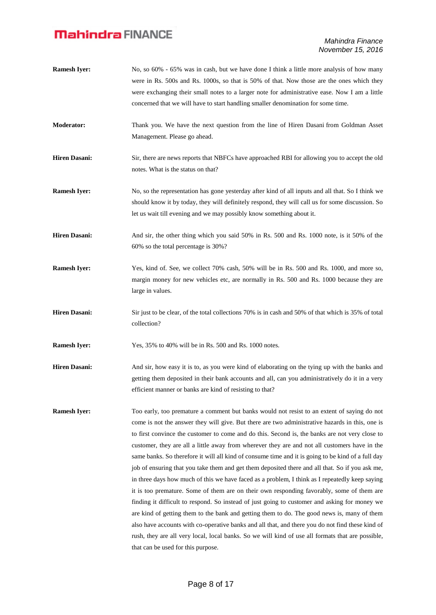- **Ramesh Iver:** No, so  $60\%$   $65\%$  was in cash, but we have done I think a little more analysis of how many were in Rs. 500s and Rs. 1000s, so that is 50% of that. Now those are the ones which they were exchanging their small notes to a larger note for administrative ease. Now I am a little concerned that we will have to start handling smaller denomination for some time. **Moderator:** Thank you. We have the next question from the line of Hiren Dasani from Goldman Asset Management. Please go ahead.
- **Hiren Dasani:** Sir, there are news reports that NBFCs have approached RBI for allowing you to accept the old notes. What is the status on that?
- **Ramesh Iyer:** No, so the representation has gone yesterday after kind of all inputs and all that. So I think we should know it by today, they will definitely respond, they will call us for some discussion. So let us wait till evening and we may possibly know something about it.
- **Hiren Dasani:** And sir, the other thing which you said 50% in Rs. 500 and Rs. 1000 note, is it 50% of the 60% so the total percentage is 30%?
- **Ramesh Iyer:** Yes, kind of. See, we collect 70% cash, 50% will be in Rs. 500 and Rs. 1000, and more so, margin money for new vehicles etc, are normally in Rs. 500 and Rs. 1000 because they are large in values.
- **Hiren Dasani:** Sir just to be clear, of the total collections 70% is in cash and 50% of that which is 35% of total collection?

**Ramesh Iyer:** Yes, 35% to 40% will be in Rs. 500 and Rs. 1000 notes.

- Hiren Dasani: And sir, how easy it is to, as you were kind of elaborating on the tying up with the banks and getting them deposited in their bank accounts and all, can you administratively do it in a very efficient manner or banks are kind of resisting to that?
- **Ramesh Iyer:** Too early, too premature a comment but banks would not resist to an extent of saying do not come is not the answer they will give. But there are two administrative hazards in this, one is to first convince the customer to come and do this. Second is, the banks are not very close to customer, they are all a little away from wherever they are and not all customers have in the same banks. So therefore it will all kind of consume time and it is going to be kind of a full day job of ensuring that you take them and get them deposited there and all that. So if you ask me, in three days how much of this we have faced as a problem, I think as I repeatedly keep saying it is too premature. Some of them are on their own responding favorably, some of them are finding it difficult to respond. So instead of just going to customer and asking for money we are kind of getting them to the bank and getting them to do. The good news is, many of them also have accounts with co-operative banks and all that, and there you do not find these kind of rush, they are all very local, local banks. So we will kind of use all formats that are possible, that can be used for this purpose.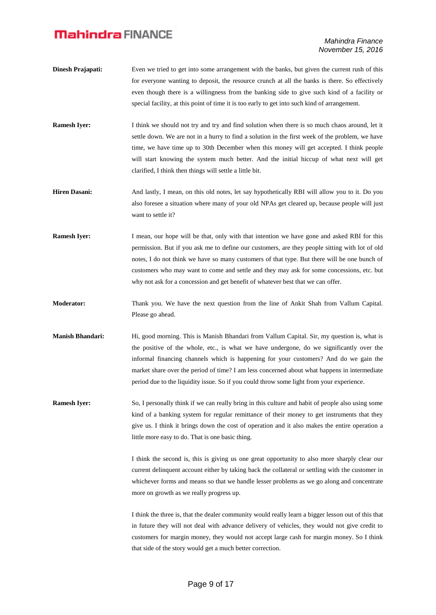- **Dinesh Prajapati:** Even we tried to get into some arrangement with the banks, but given the current rush of this for everyone wanting to deposit, the resource crunch at all the banks is there. So effectively even though there is a willingness from the banking side to give such kind of a facility or special facility, at this point of time it is too early to get into such kind of arrangement.
- **Ramesh Iyer:** I think we should not try and try and find solution when there is so much chaos around, let it settle down. We are not in a hurry to find a solution in the first week of the problem, we have time, we have time up to 30th December when this money will get accepted. I think people will start knowing the system much better. And the initial hiccup of what next will get clarified, I think then things will settle a little bit.
- **Hiren Dasani:** And lastly, I mean, on this old notes, let say hypothetically RBI will allow you to it. Do you also foresee a situation where many of your old NPAs get cleared up, because people will just want to settle it?
- **Ramesh Iyer:** I mean, our hope will be that, only with that intention we have gone and asked RBI for this permission. But if you ask me to define our customers, are they people sitting with lot of old notes, I do not think we have so many customers of that type. But there will be one bunch of customers who may want to come and settle and they may ask for some concessions, etc. but why not ask for a concession and get benefit of whatever best that we can offer.
- **Moderator:** Thank you. We have the next question from the line of Ankit Shah from Vallum Capital. Please go ahead.
- **Manish Bhandari:** Hi, good morning. This is Manish Bhandari from Vallum Capital. Sir, my question is, what is the positive of the whole, etc., is what we have undergone, do we significantly over the informal financing channels which is happening for your customers? And do we gain the market share over the period of time? I am less concerned about what happens in intermediate period due to the liquidity issue. So if you could throw some light from your experience.
- **Ramesh Iyer:** So, I personally think if we can really bring in this culture and habit of people also using some kind of a banking system for regular remittance of their money to get instruments that they give us. I think it brings down the cost of operation and it also makes the entire operation a little more easy to do. That is one basic thing.

I think the second is, this is giving us one great opportunity to also more sharply clear our current delinquent account either by taking back the collateral or settling with the customer in whichever forms and means so that we handle lesser problems as we go along and concentrate more on growth as we really progress up.

I think the three is, that the dealer community would really learn a bigger lesson out of this that in future they will not deal with advance delivery of vehicles, they would not give credit to customers for margin money, they would not accept large cash for margin money. So I think that side of the story would get a much better correction.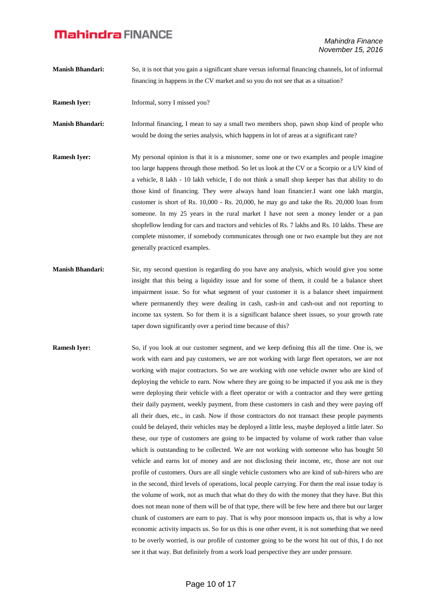*Mahindra Finance November 15, 2016*

- **Manish Bhandari:** So, it is not that you gain a significant share versus informal financing channels, lot of informal financing in happens in the CV market and so you do not see that as a situation?
- **Ramesh Iver:** Informal, sorry I missed you?

Manish Bhandari: Informal financing, I mean to say a small two members shop, pawn shop kind of people who would be doing the series analysis, which happens in lot of areas at a significant rate?

- **Ramesh Iyer:** My personal opinion is that it is a misnomer, some one or two examples and people imagine too large happens through those method. So let us look at the CV or a Scorpio or a UV kind of a vehicle, 8 lakh - 10 lakh vehicle, I do not think a small shop keeper has that ability to do those kind of financing. They were always hand loan financier.I want one lakh margin, customer is short of Rs. 10,000 - Rs. 20,000, he may go and take the Rs. 20,000 loan from someone. In my 25 years in the rural market I have not seen a money lender or a pan shopfellow lending for cars and tractors and vehicles of Rs. 7 lakhs and Rs. 10 lakhs. These are complete misnomer, if somebody communicates through one or two example but they are not generally practiced examples.
- **Manish Bhandari:** Sir, my second question is regarding do you have any analysis, which would give you some insight that this being a liquidity issue and for some of them, it could be a balance sheet impairment issue. So for what segment of your customer it is a balance sheet impairment where permanently they were dealing in cash, cash-in and cash-out and not reporting to income tax system. So for them it is a significant balance sheet issues, so your growth rate taper down significantly over a period time because of this?
- **Ramesh Iyer:** So, if you look at our customer segment, and we keep defining this all the time. One is, we work with earn and pay customers, we are not working with large fleet operators, we are not working with major contractors. So we are working with one vehicle owner who are kind of deploying the vehicle to earn. Now where they are going to be impacted if you ask me is they were deploying their vehicle with a fleet operator or with a contractor and they were getting their daily payment, weekly payment, from these customers in cash and they were paying off all their dues, etc., in cash. Now if those contractors do not transact these people payments could be delayed, their vehicles may be deployed a little less, maybe deployed a little later. So these, our type of customers are going to be impacted by volume of work rather than value which is outstanding to be collected. We are not working with someone who has bought 50 vehicle and earns lot of money and are not disclosing their income, etc, those are not our profile of customers. Ours are all single vehicle customers who are kind of sub-hirers who are in the second, third levels of operations, local people carrying. For them the real issue today is the volume of work, not as much that what do they do with the money that they have. But this does not mean none of them will be of that type, there will be few here and there but our larger chunk of customers are earn to pay. That is why poor monsoon impacts us, that is why a low economic activity impacts us. So for us this is one other event, it is not something that we need to be overly worried, is our profile of customer going to be the worst hit out of this, I do not see it that way. But definitely from a work load perspective they are under pressure.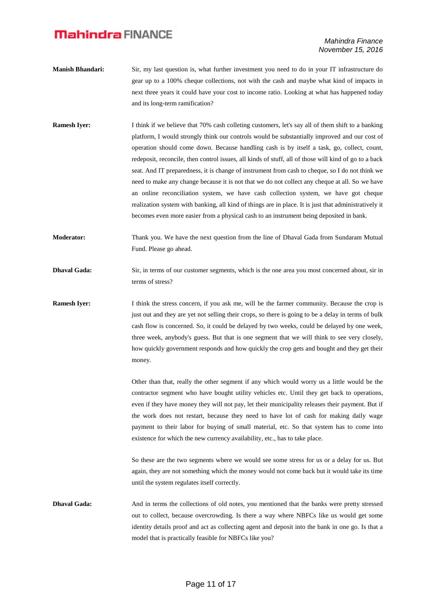- **Manish Bhandari:** Sir, my last question is, what further investment you need to do in your IT infrastructure do gear up to a 100% cheque collections, not with the cash and maybe what kind of impacts in next three years it could have your cost to income ratio. Looking at what has happened today and its long-term ramification?
- **Ramesh Iyer:** I think if we believe that 70% cash colleting customers, let's say all of them shift to a banking platform, I would strongly think our controls would be substantially improved and our cost of operation should come down. Because handling cash is by itself a task, go, collect, count, redeposit, reconcile, then control issues, all kinds of stuff, all of those will kind of go to a back seat. And IT preparedness, it is change of instrument from cash to cheque, so I do not think we need to make any change because it is not that we do not collect any cheque at all. So we have an online reconciliation system, we have cash collection system, we have got cheque realization system with banking, all kind of things are in place. It is just that administratively it becomes even more easier from a physical cash to an instrument being deposited in bank.
- **Moderator:** Thank you. We have the next question from the line of Dhaval Gada from Sundaram Mutual Fund. Please go ahead.
- **Dhaval Gada:** Sir, in terms of our customer segments, which is the one area you most concerned about, sir in terms of stress?
- **Ramesh Iyer:** I think the stress concern, if you ask me, will be the farmer community. Because the crop is just out and they are yet not selling their crops, so there is going to be a delay in terms of bulk cash flow is concerned. So, it could be delayed by two weeks, could be delayed by one week, three week, anybody's guess. But that is one segment that we will think to see very closely, how quickly government responds and how quickly the crop gets and bought and they get their money.

Other than that, really the other segment if any which would worry us a little would be the contractor segment who have bought utility vehicles etc. Until they get back to operations, even if they have money they will not pay, let their municipality releases their payment. But if the work does not restart, because they need to have lot of cash for making daily wage payment to their labor for buying of small material, etc. So that system has to come into existence for which the new currency availability, etc., has to take place.

So these are the two segments where we would see some stress for us or a delay for us. But again, they are not something which the money would not come back but it would take its time until the system regulates itself correctly.

**Dhaval Gada:** And in terms the collections of old notes, you mentioned that the banks were pretty stressed out to collect, because overcrowding. Is there a way where NBFCs like us would get some identity details proof and act as collecting agent and deposit into the bank in one go. Is that a model that is practically feasible for NBFCs like you?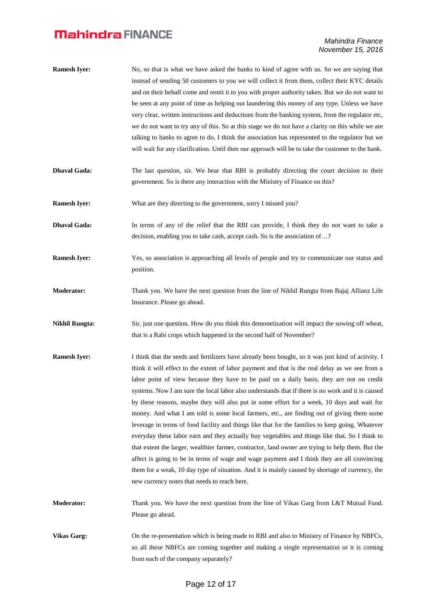| <b>Ramesh Iyer:</b>   | No, so that is what we have asked the banks to kind of agree with us. So we are saying that<br>instead of sending 50 customers to you we will collect it from them, collect their KYC details<br>and on their behalf come and remit it to you with proper authority taken. But we do not want to<br>be seen at any point of time as helping out laundering this money of any type. Unless we have<br>very clear, written instructions and deductions from the banking system, from the regulator etc,<br>we do not want to try any of this. So at this stage we do not have a clarity on this while we are<br>talking to banks to agree to do, I think the association has represented to the regulator but we<br>will wait for any clarification. Until then our approach will be to take the customer to the bank.                                                                                                                                                                                                                                                                                                                                              |
|-----------------------|-------------------------------------------------------------------------------------------------------------------------------------------------------------------------------------------------------------------------------------------------------------------------------------------------------------------------------------------------------------------------------------------------------------------------------------------------------------------------------------------------------------------------------------------------------------------------------------------------------------------------------------------------------------------------------------------------------------------------------------------------------------------------------------------------------------------------------------------------------------------------------------------------------------------------------------------------------------------------------------------------------------------------------------------------------------------------------------------------------------------------------------------------------------------|
| <b>Dhaval Gada:</b>   | The last question, sir. We hear that RBI is probably directing the court decision to their<br>government. So is there any interaction with the Ministry of Finance on this?                                                                                                                                                                                                                                                                                                                                                                                                                                                                                                                                                                                                                                                                                                                                                                                                                                                                                                                                                                                       |
| <b>Ramesh Iyer:</b>   | What are they directing to the government, sorry I missed you?                                                                                                                                                                                                                                                                                                                                                                                                                                                                                                                                                                                                                                                                                                                                                                                                                                                                                                                                                                                                                                                                                                    |
| <b>Dhaval Gada:</b>   | In terms of any of the relief that the RBI can provide, I think they do not want to take a<br>decision, enabling you to take cash, accept cash. So is the association of?                                                                                                                                                                                                                                                                                                                                                                                                                                                                                                                                                                                                                                                                                                                                                                                                                                                                                                                                                                                         |
| <b>Ramesh Iyer:</b>   | Yes, so association is approaching all levels of people and try to communicate our status and<br>position.                                                                                                                                                                                                                                                                                                                                                                                                                                                                                                                                                                                                                                                                                                                                                                                                                                                                                                                                                                                                                                                        |
| <b>Moderator:</b>     | Thank you. We have the next question from the line of Nikhil Rungta from Bajaj Allianz Life<br>Insurance. Please go ahead.                                                                                                                                                                                                                                                                                                                                                                                                                                                                                                                                                                                                                                                                                                                                                                                                                                                                                                                                                                                                                                        |
| <b>Nikhil Rungta:</b> | Sir, just one question. How do you think this demonetization will impact the sowing off wheat,<br>that is a Rabi crops which happened in the second half of November?                                                                                                                                                                                                                                                                                                                                                                                                                                                                                                                                                                                                                                                                                                                                                                                                                                                                                                                                                                                             |
| <b>Ramesh Iyer:</b>   | I think that the seeds and fertilizers have already been bought, so it was just kind of activity. I<br>think it will effect to the extent of labor payment and that is the real delay as we see from a<br>labor point of view because they have to be paid on a daily basis, they are not on credit<br>systems. Now I am sure the local labor also understands that if there is no work and it is caused<br>by these reasons, maybe they will also put in some effort for a week, 10 days and wait for<br>money. And what I am told is some local farmers, etc., are finding out of giving them some<br>leverage in terms of food facility and things like that for the families to keep going. Whatever<br>everyday these labor earn and they actually buy vegetables and things like that. So I think to<br>that extent the larger, wealthier farmer, contractor, land owner are trying to help them. But the<br>affect is going to be in terms of wage and wage payment and I think they are all convincing<br>them for a weak, 10 day type of situation. And it is mainly caused by shortage of currency, the<br>new currency notes that needs to reach here. |
| <b>Moderator:</b>     | Thank you. We have the next question from the line of Vikas Garg from L&T Mutual Fund.<br>Please go ahead.                                                                                                                                                                                                                                                                                                                                                                                                                                                                                                                                                                                                                                                                                                                                                                                                                                                                                                                                                                                                                                                        |
| <b>Vikas Garg:</b>    | On the re-presentation which is being made to RBI and also to Ministry of Finance by NBFCs,<br>so all these NBFCs are coming together and making a single representation or it is coming                                                                                                                                                                                                                                                                                                                                                                                                                                                                                                                                                                                                                                                                                                                                                                                                                                                                                                                                                                          |

from each of the company separately?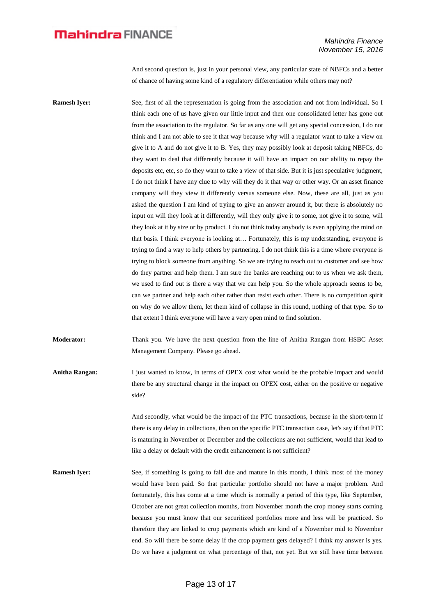And second question is, just in your personal view, any particular state of NBFCs and a better of chance of having some kind of a regulatory differentiation while others may not?

**Ramesh Iver:** See, first of all the representation is going from the association and not from individual. So I think each one of us have given our little input and then one consolidated letter has gone out from the association to the regulator. So far as any one will get any special concession, I do not think and I am not able to see it that way because why will a regulator want to take a view on give it to A and do not give it to B. Yes, they may possibly look at deposit taking NBFCs, do they want to deal that differently because it will have an impact on our ability to repay the deposits etc, etc, so do they want to take a view of that side. But it is just speculative judgment, I do not think I have any clue to why will they do it that way or other way. Or an asset finance company will they view it differently versus someone else. Now, these are all, just as you asked the question I am kind of trying to give an answer around it, but there is absolutely no input on will they look at it differently, will they only give it to some, not give it to some, will they look at it by size or by product. I do not think today anybody is even applying the mind on that basis. I think everyone is looking at… Fortunately, this is my understanding, everyone is trying to find a way to help others by partnering. I do not think this is a time where everyone is trying to block someone from anything. So we are trying to reach out to customer and see how do they partner and help them. I am sure the banks are reaching out to us when we ask them, we used to find out is there a way that we can help you. So the whole approach seems to be, can we partner and help each other rather than resist each other. There is no competition spirit on why do we allow them, let them kind of collapse in this round, nothing of that type. So to that extent I think everyone will have a very open mind to find solution.

**Moderator:** Thank you. We have the next question from the line of Anitha Rangan from HSBC Asset Management Company. Please go ahead.

**Anitha Rangan:** I just wanted to know, in terms of OPEX cost what would be the probable impact and would there be any structural change in the impact on OPEX cost, either on the positive or negative side?

> And secondly, what would be the impact of the PTC transactions, because in the short-term if there is any delay in collections, then on the specific PTC transaction case, let's say if that PTC is maturing in November or December and the collections are not sufficient, would that lead to like a delay or default with the credit enhancement is not sufficient?

**Ramesh Iyer:** See, if something is going to fall due and mature in this month, I think most of the money would have been paid. So that particular portfolio should not have a major problem. And fortunately, this has come at a time which is normally a period of this type, like September, October are not great collection months, from November month the crop money starts coming because you must know that our securitized portfolios more and less will be practiced. So therefore they are linked to crop payments which are kind of a November mid to November end. So will there be some delay if the crop payment gets delayed? I think my answer is yes. Do we have a judgment on what percentage of that, not yet. But we still have time between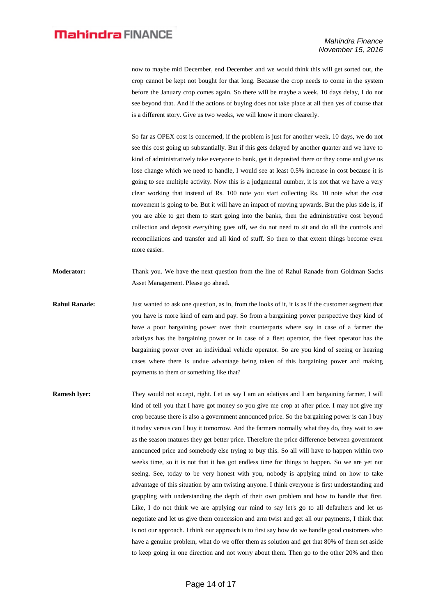now to maybe mid December, end December and we would think this will get sorted out, the crop cannot be kept not bought for that long. Because the crop needs to come in the system before the January crop comes again. So there will be maybe a week, 10 days delay, I do not see beyond that. And if the actions of buying does not take place at all then yes of course that is a different story. Give us two weeks, we will know it more clearerly.

So far as OPEX cost is concerned, if the problem is just for another week, 10 days, we do not see this cost going up substantially. But if this gets delayed by another quarter and we have to kind of administratively take everyone to bank, get it deposited there or they come and give us lose change which we need to handle, I would see at least 0.5% increase in cost because it is going to see multiple activity. Now this is a judgmental number, it is not that we have a very clear working that instead of Rs. 100 note you start collecting Rs. 10 note what the cost movement is going to be. But it will have an impact of moving upwards. But the plus side is, if you are able to get them to start going into the banks, then the administrative cost beyond collection and deposit everything goes off, we do not need to sit and do all the controls and reconciliations and transfer and all kind of stuff. So then to that extent things become even more easier.

**Moderator:** Thank you. We have the next question from the line of Rahul Ranade from Goldman Sachs Asset Management. Please go ahead.

- **Rahul Ranade:** Just wanted to ask one question, as in, from the looks of it, it is as if the customer segment that you have is more kind of earn and pay. So from a bargaining power perspective they kind of have a poor bargaining power over their counterparts where say in case of a farmer the adatiyas has the bargaining power or in case of a fleet operator, the fleet operator has the bargaining power over an individual vehicle operator. So are you kind of seeing or hearing cases where there is undue advantage being taken of this bargaining power and making payments to them or something like that?
- **Ramesh Iyer:** They would not accept, right. Let us say I am an adatiyas and I am bargaining farmer, I will kind of tell you that I have got money so you give me crop at after price. I may not give my crop because there is also a government announced price. So the bargaining power is can I buy it today versus can I buy it tomorrow. And the farmers normally what they do, they wait to see as the season matures they get better price. Therefore the price difference between government announced price and somebody else trying to buy this. So all will have to happen within two weeks time, so it is not that it has got endless time for things to happen. So we are yet not seeing. See, today to be very honest with you, nobody is applying mind on how to take advantage of this situation by arm twisting anyone. I think everyone is first understanding and grappling with understanding the depth of their own problem and how to handle that first. Like, I do not think we are applying our mind to say let's go to all defaulters and let us negotiate and let us give them concession and arm twist and get all our payments, I think that is not our approach. I think our approach is to first say how do we handle good customers who have a genuine problem, what do we offer them as solution and get that 80% of them set aside to keep going in one direction and not worry about them. Then go to the other 20% and then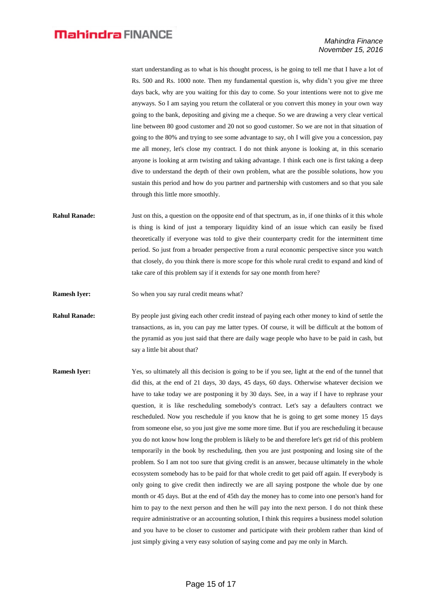start understanding as to what is his thought process, is he going to tell me that I have a lot of Rs. 500 and Rs. 1000 note. Then my fundamental question is, why didn't you give me three days back, why are you waiting for this day to come. So your intentions were not to give me anyways. So I am saying you return the collateral or you convert this money in your own way going to the bank, depositing and giving me a cheque. So we are drawing a very clear vertical line between 80 good customer and 20 not so good customer. So we are not in that situation of going to the 80% and trying to see some advantage to say, oh I will give you a concession, pay me all money, let's close my contract. I do not think anyone is looking at, in this scenario anyone is looking at arm twisting and taking advantage. I think each one is first taking a deep dive to understand the depth of their own problem, what are the possible solutions, how you sustain this period and how do you partner and partnership with customers and so that you sale through this little more smoothly.

**Rahul Ranade:** Just on this, a question on the opposite end of that spectrum, as in, if one thinks of it this whole is thing is kind of just a temporary liquidity kind of an issue which can easily be fixed theoretically if everyone was told to give their counterparty credit for the intermittent time period. So just from a broader perspective from a rural economic perspective since you watch that closely, do you think there is more scope for this whole rural credit to expand and kind of take care of this problem say if it extends for say one month from here?

**Ramesh Iyer:** So when you say rural credit means what?

**Rahul Ranade:** By people just giving each other credit instead of paying each other money to kind of settle the transactions, as in, you can pay me latter types. Of course, it will be difficult at the bottom of the pyramid as you just said that there are daily wage people who have to be paid in cash, but say a little bit about that?

**Ramesh Iyer:** Yes, so ultimately all this decision is going to be if you see, light at the end of the tunnel that did this, at the end of 21 days, 30 days, 45 days, 60 days. Otherwise whatever decision we have to take today we are postponing it by 30 days. See, in a way if I have to rephrase your question, it is like rescheduling somebody's contract. Let's say a defaulters contract we rescheduled. Now you reschedule if you know that he is going to get some money 15 days from someone else, so you just give me some more time. But if you are rescheduling it because you do not know how long the problem is likely to be and therefore let's get rid of this problem temporarily in the book by rescheduling, then you are just postponing and losing site of the problem. So I am not too sure that giving credit is an answer, because ultimately in the whole ecosystem somebody has to be paid for that whole credit to get paid off again. If everybody is only going to give credit then indirectly we are all saying postpone the whole due by one month or 45 days. But at the end of 45th day the money has to come into one person's hand for him to pay to the next person and then he will pay into the next person. I do not think these require administrative or an accounting solution, I think this requires a business model solution and you have to be closer to customer and participate with their problem rather than kind of just simply giving a very easy solution of saying come and pay me only in March.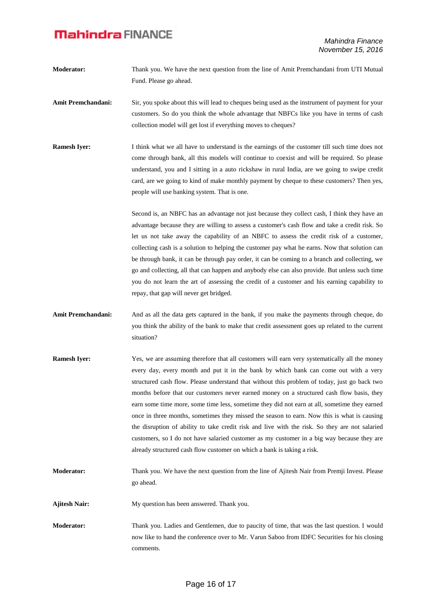- **Moderator:** Thank you. We have the next question from the line of Amit Premchandani from UTI Mutual Fund. Please go ahead.
- **Amit Premchandani:** Sir, you spoke about this will lead to cheques being used as the instrument of payment for your customers. So do you think the whole advantage that NBFCs like you have in terms of cash collection model will get lost if everything moves to cheques?
- **Ramesh Iyer:** I think what we all have to understand is the earnings of the customer till such time does not come through bank, all this models will continue to coexist and will be required. So please understand, you and I sitting in a auto rickshaw in rural India, are we going to swipe credit card, are we going to kind of make monthly payment by cheque to these customers? Then yes, people will use banking system. That is one.

Second is, an NBFC has an advantage not just because they collect cash, I think they have an advantage because they are willing to assess a customer's cash flow and take a credit risk. So let us not take away the capability of an NBFC to assess the credit risk of a customer, collecting cash is a solution to helping the customer pay what he earns. Now that solution can be through bank, it can be through pay order, it can be coming to a branch and collecting, we go and collecting, all that can happen and anybody else can also provide. But unless such time you do not learn the art of assessing the credit of a customer and his earning capability to repay, that gap will never get bridged.

- **Amit Premchandani:** And as all the data gets captured in the bank, if you make the payments through cheque, do you think the ability of the bank to make that credit assessment goes up related to the current situation?
- **Ramesh Iyer:** Yes, we are assuming therefore that all customers will earn very systematically all the money every day, every month and put it in the bank by which bank can come out with a very structured cash flow. Please understand that without this problem of today, just go back two months before that our customers never earned money on a structured cash flow basis, they earn some time more, some time less, sometime they did not earn at all, sometime they earned once in three months, sometimes they missed the season to earn. Now this is what is causing the disruption of ability to take credit risk and live with the risk. So they are not salaried customers, so I do not have salaried customer as my customer in a big way because they are already structured cash flow customer on which a bank is taking a risk.
- **Moderator:** Thank you. We have the next question from the line of Ajitesh Nair from Premji Invest. Please go ahead.
- Ajitesh Nair: My question has been answered. Thank you.
- **Moderator:** Thank you. Ladies and Gentlemen, due to paucity of time, that was the last question. I would now like to hand the conference over to Mr. Varun Saboo from IDFC Securities for his closing comments.